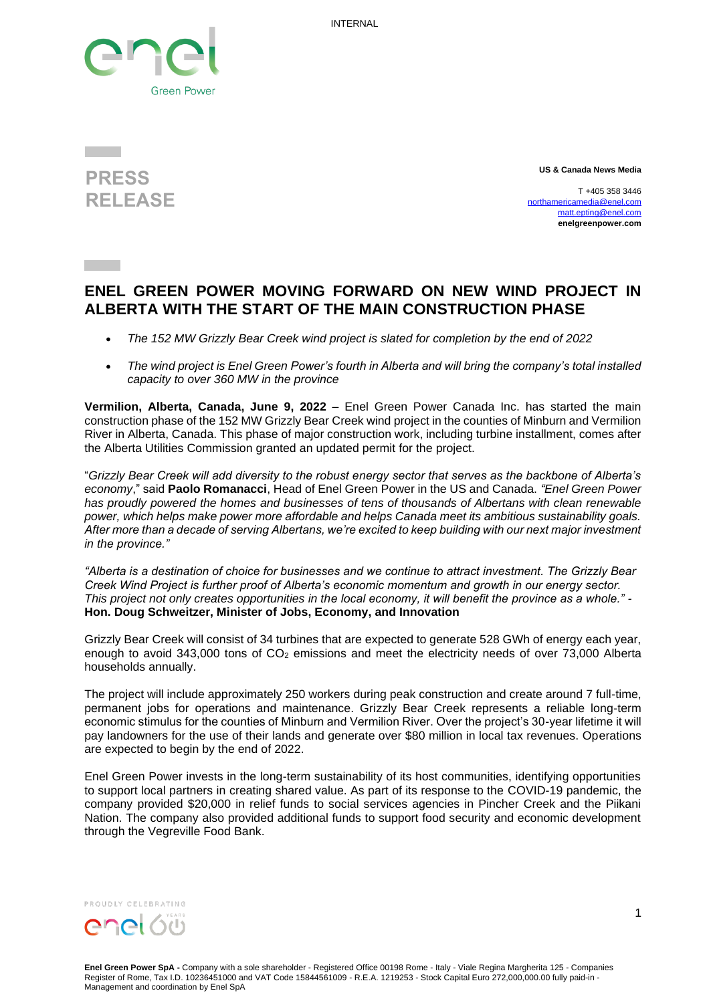INTERNAL





**US & Canada News Media**

T +405 358 3446 [northamericamedia@enel.com](mailto:northamericamedia@enel.com) [matt.epting@enel.com](mailto:matt.epting@enel.com) **enelgreenpower.com**

## **ENEL GREEN POWER MOVING FORWARD ON NEW WIND PROJECT IN ALBERTA WITH THE START OF THE MAIN CONSTRUCTION PHASE**

- *The 152 MW Grizzly Bear Creek wind project is slated for completion by the end of 2022*
- *The wind project is Enel Green Power's fourth in Alberta and will bring the company's total installed capacity to over 360 MW in the province*

**Vermilion, Alberta, Canada, June 9, 2022** – Enel Green Power Canada Inc. has started the main construction phase of the 152 MW Grizzly Bear Creek wind project in the counties of Minburn and Vermilion River in Alberta, Canada. This phase of major construction work, including turbine installment, comes after the Alberta Utilities Commission granted an updated permit for the project.

"*Grizzly Bear Creek will add diversity to the robust energy sector that serves as the backbone of Alberta's economy*," said **Paolo Romanacci**, Head of Enel Green Power in the US and Canada. *"Enel Green Power has proudly powered the homes and businesses of tens of thousands of Albertans with clean renewable power, which helps make power more affordable and helps Canada meet its ambitious sustainability goals. After more than a decade of serving Albertans, we're excited to keep building with our next major investment in the province."*

*"Alberta is a destination of choice for businesses and we continue to attract investment. The Grizzly Bear Creek Wind Project is further proof of Alberta's economic momentum and growth in our energy sector. This project not only creates opportunities in the local economy, it will benefit the province as a whole." -* **Hon. Doug Schweitzer, Minister of Jobs, Economy, and Innovation**

Grizzly Bear Creek will consist of 34 turbines that are expected to generate 528 GWh of energy each year, enough to avoid 343,000 tons of CO<sub>2</sub> emissions and meet the electricity needs of over 73,000 Alberta households annually.

The project will include approximately 250 workers during peak construction and create around 7 full-time, permanent jobs for operations and maintenance. Grizzly Bear Creek represents a reliable long-term economic stimulus for the counties of Minburn and Vermilion River. Over the project's 30-year lifetime it will pay landowners for the use of their lands and generate over \$80 million in local tax revenues. Operations are expected to begin by the end of 2022.

Enel Green Power invests in the long-term sustainability of its host communities, identifying opportunities to support local partners in creating shared value. As part of its response to the COVID-19 pandemic, the company provided \$20,000 in relief funds to social services agencies in Pincher Creek and the Piikani Nation. The company also provided additional funds to support food security and economic development through the Vegreville Food Bank.



**Enel Green Power SpA -** Company with a sole shareholder - Registered Office 00198 Rome - Italy - Viale Regina Margherita 125 - Companies Register of Rome, Tax I.D. 10236451000 and VAT Code 15844561009 - R.E.A. 1219253 - Stock Capital Euro 272,000,000.00 fully paid-in - Management and coordination by Enel SpA